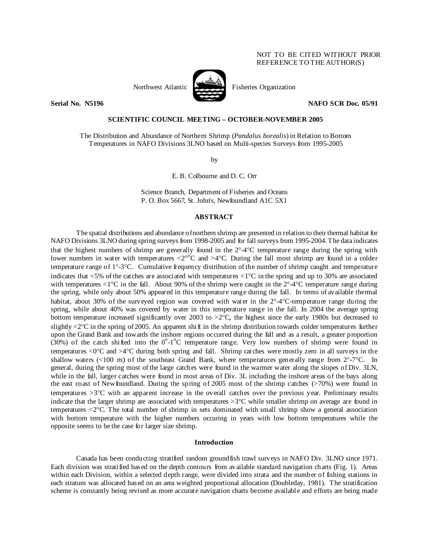# NOT TO BE CITED WITHOUT PRIOR REFERENCE TO THE AUTHOR(S)



Northwest Atlantic **No. 1989** Fisheries Organization

**Serial No. N5196 NAFO SCR Doc. 05/91** 

# **SCIENTIFIC COUNCIL MEETING – OCTOBER-NOVEMBER 2005**

The Distribution and Abundance of Northern Shrimp (*Pandalus borealis*) in Relation to Bottom Temperatures in NAFO Divisions 3LNO based on Multi-species Surveys from 1995-2005

by

E. B. Colbourne and D. C. Orr

Science Branch, Department of Fisheries and Oceans P. O. Box 5667, St. John's, Newfoundland A1C 5X1

## **ABSTRACT**

 The spatial distributions and abundance of northern shrimp are presented in relation to their thermal habitat for NAFO Divisions 3LNO during spring surveys from 1998-2005 and for fall surveys from 1995-2004. The data indicates that the highest numbers of shrimp are generally found in the 2°-4°C temperature range during the spring with lower numbers in water with temperatures  $\langle 2^{\circ}$ <sup>o</sup>C and  $>4$ <sup>o</sup>C. During the fall most shrimp are found in a colder temperature range of 1°-3°C. Cumulative frequency distribution of the number of shrimp caught and temperature indicates that  $<5\%$  of the catches are associated with temperatures  $<1^{\circ}\text{C}$  in the spring and up to 30% are associated with temperatures  $\langle 1^{\circ}C \rangle$  in the fall. About 90% of the shrimp were caught in the 2°-4°C temperature range during the spring, while only about 50% appeared in this temperature range during the fall. In terms of available thermal habitat, about 30% of the surveyed region was covered with water in the 2°-4°C-temperature range during the spring, while about 40% was covered by water in this temperature range in the fall. In 2004 the average spring bottom temperature increased significantly over 2003 to  $>2^{\circ}C$ , the highest since the early 1980s but decreased to slightly  $\langle 2^{\circ}$ C in the spring of 2005. An apparent shift in the shrimp distribution towards colder temperatures further upon the Grand Bank and towards the inshore regions occurred during the fall and as a result, a greater proportion (30%) of the catch shifted into the  $0^{\circ}$ -1<sup>o</sup>C temperature range. Very low numbers of shrimp were found in temperatures  $\langle 0^{\circ}C \rangle$  and  $>4^{\circ}C$  during both spring and fall. Shrimp catches were mostly zero in all surveys in the shallow waters  $\ll 100$  m) of the southeast Grand Bank, where temperatures generally range from  $2^{\circ}$ -7°C. In general, during the spring most of the large catches were found in the warmer water along the slopes of Div. 3LN, while in the fall, larger catches were found in most areas of Div. 3L including the inshore areas of the bays along the east coast of Newfoundland. During the spring of 2005 most of the shrimp catches (>70%) were found in temperatures >3°C with an apparent increase in the overall catches over the previous year. Preliminary results indicate that the larger shrimp are associated with temperatures >3°C while smaller shrimp on average are found in temperatures <2°C. The total number of shrimp in sets dominated with small shrimp show a general association with bottom temperature with the higher numbers occuring in years with low bottom temperatures while the opposite seems to be the case for larger size shrimp.

### **Introduction**

Canada has been conducting stratified random groundfish trawl surveys in NAFO Div. 3LNO since 1971. Each division was stratified based on the depth contours from available standard navigation charts (Fig. 1). Areas within each Division, within a selected depth range, were divided into strata and the number of fishing stations in each stratum was allocated based on an area weighted proportional allocation (Doubleday, 1981). The stratification scheme is constantly being revised as more accurate navigation charts become available and efforts are being made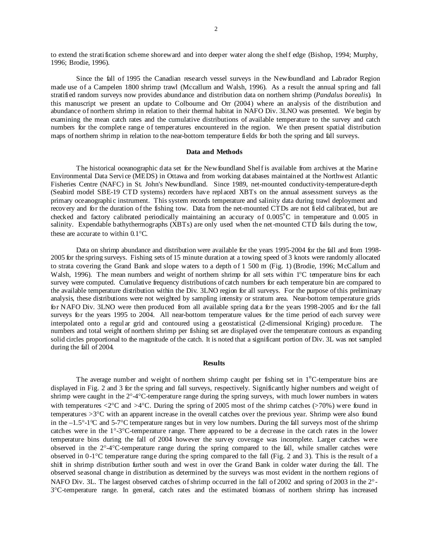to extend the stratification scheme shoreward and into deeper water along the shelf edge (Bishop, 1994; Murphy, 1996; Brodie, 1996).

Since the fall of 1995 the Canadian research vessel surveys in the Newfoundland and Labrador Region made use of a Campelen 1800 shrimp trawl (Mccallum and Walsh, 1996). As a result the annual spring and fall stratified random surveys now provides abundance and distribution data on northern shrimp (*Pandalus borealis*). In this manuscript we present an update to Colbourne and Orr (2004) where an analysis of the distribution and abundance of northern shrimp in relation to their thermal habitat in NAFO Div. 3LNO was presented. We begin by examining the mean catch rates and the cumulative distributions of available temperature to the survey and catch numbers for the complete range of temperatures encountered in the region. We then present spatial distribution maps of northern shrimp in relation to the near-bottom temperature fields for both the spring and fall surveys.

### **Data and Methods**

The historical oceanographic data set for the Newfoundland Shelf is available from archives at the Marine Environmental Data Service (MEDS) in Ottawa and from working databases maintained at the Northwest Atlantic Fisheries Centre (NAFC) in St. John's Newfoundland. Since 1989, net-mounted conductivity-temperature-depth (Seabird model SBE-19 CTD systems) recorders have replaced XBTs on the annual assessment surveys as the primary oceanographic instrument. This system records temperature and salinity data during trawl deployment and recovery and for the duration of the fishing tow. Data from the net-mounted CTDs are not field calibrated, but are checked and factory calibrated periodically maintaining an accuracy of 0.005°C in temperature and 0.005 in salinity. Expendable bathythermographs (XBTs) are only used when the net-mounted CTD fails during the tow, these are accurate to within 0.1°C.

Data on shrimp abundance and distribution were available for the years 1995-2004 for the fall and from 1998- 2005 for the spring surveys. Fishing sets of 15 minute duration at a towing speed of 3 knots were randomly allocated to strata covering the Grand Bank and slope waters to a depth of 1 500 m (Fig. 1) (Brodie, 1996; McCallum and Walsh, 1996). The mean numbers and weight of northern shrimp for all sets within 1<sup>°</sup>C temperature bins for each survey were computed. Cumulative frequency distributions of catch numbers for each temperature bin are compared to the available temperature distribution within the Div. 3LNO region for all surveys. For the purpose of this preliminary analysis, these distributions were not weighted by sampling intensity or stratum area. Near-bottom temperature grids for NAFO Div. 3LNO were then produced from all available spring data for the years 1998-2005 and for the fall surveys for the years 1995 to 2004. All near-bottom temperature values for the time period of each survey were interpolated onto a regular grid and contoured using a geostatistical (2-dimensional Kriging) procedure. The numbers and total weight of northern shrimp per fishing set are displayed over the temperature contours as expanding solid circles proportional to the magnitude of the catch. It is noted that a significant portion of Div. 3L was not sampled during the fall of 2004.

### **Results**

The average number and weight of northern shrimp caught per fishing set in  $1^{\circ}$ C-temperature bins are displayed in Fig. 2 and 3 for the spring and fall surveys, respectively. Significantly higher numbers and weight of shrimp were caught in the 2°-4°C-temperature range during the spring surveys, with much lower numbers in waters with temperatures  $\langle 2^{\circ}C \rangle$  and  $>4^{\circ}C$ . During the spring of 2005 most of the shrimp catches ( $>70\%$ ) were found in temperatures >3°C with an apparent increase in the overall catches over the previous year. Shrimp were also found in the –1.5°-1°C and 5-7°C temperature ranges but in very low numbers. During the fall surveys most of the shrimp catches were in the 1°-3°C-temperature range. There appeared to be a decrease in the catch rates in the lower temperature bins during the fall of 2004 however the survey coverage was incomplete. Larger catches were observed in the 2°-4°C-temperature range during the spring compared to the fall, while smaller catches were observed in 0-1°C temperature range during the spring compared to the fall (Fig. 2 and 3). This is the result of a shift in shrimp distribution further south and west in over the Grand Bank in colder water during the fall. The observed seasonal change in distribution as determined by the surveys was most evident in the northern regions of NAFO Div. 3L. The largest observed catches of shrimp occurred in the fall of 2002 and spring of 2003 in the 2°- 3°C-temperature range. In general, catch rates and the estimated biomass of northern shrimp has increased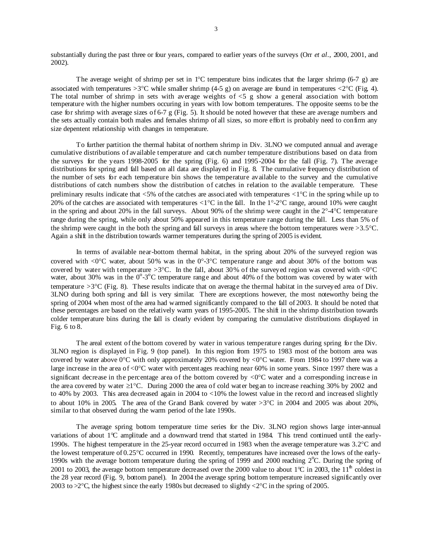substantially during the past three or four years, compared to earlier years of the surveys (Orr *et al*., 2000, 2001, and 2002).

The average weight of shrimp per set in  $1^{\circ}$ C temperature bins indicates that the larger shrimp (6-7 g) are associated with temperatures  $>3^{\circ}$ C while smaller shrimp (4-5 g) on average are found in temperatures <2 $^{\circ}$ C (Fig. 4). The total number of shrimp in sets with average weights of  $\lt 5$  g show a general association with bottom temperature with the higher numbers occuring in years with low bottom temperatures. The opposite seems to be the case for shrimp with average sizes of 6-7 g (Fig. 5). It should be noted however that these are average numbers and the sets actually contain both males and females shrimp of all sizes, so more effort is probably need to confirm any size depentent relationship with changes in temperature.

 To further partition the thermal habitat of northern shrimp in Div. 3LNO we computed annual and average cumulative distributions of available temperature and catch number temperature distributions based on data from the surveys for the years 1998-2005 for the spring (Fig. 6) and 1995-2004 for the fall (Fig. 7). The average distributions for spring and fall based on all data are displayed in Fig. 8. The cumulative frequency distribution of the number of sets for each temperature bin shows the temperature available to the survey and the cumulative distributions of catch numbers show the distribution of catches in relation to the available temperature. These preliminary results indicate that <5% of the catches are associated with temperatures <1°C in the spring while up to 20% of the catches are associated with temperatures  $\langle 1^{\circ}C \rangle$  in the fall. In the 1°-2°C range, around 10% were caught in the spring and about 20% in the fall surveys. About 90% of the shrimp were caught in the  $2^{\circ}$ -4°C temperature range during the spring, while only about 50% appeared in this temperature range during the fall. Less than 5% of the shrimp were caught in the both the spring and fall surveys in areas where the bottom temperatures were >3.5°C. Again a shift in the distribution towards warmer temperatures during the spring of 2005 is evident.

In terms of available near-bottom thermal habitat, in the spring about 20% of the surveyed region was covered with  $\langle 0^{\circ}C \rangle$  water, about 50% was in the  $0^{\circ}$ -3°C temperature range and about 30% of the bottom was covered by water with temperature  $>3^{\circ}C$ . In the fall, about 30% of the surveyed region was covered with  $<0^{\circ}C$ water, about 30% was in the  $0^{\circ}$ -3 $^{\circ}$ C temperature range and about 40% of the bottom was covered by water with temperature  $>3^{\circ}C$  (Fig. 8). These results indicate that on average the thermal habitat in the surveyed area of Div. 3LNO during both spring and fall is very similar. There are exceptions however, the most noteworthy being the spring of 2004 when most of the area had warmed significantly compared to the fall of 2003. It should be noted that these percentages are based on the relatively warm years of 1995-2005. The shift in the shrimp distribution towards colder temperature bins during the fall is clearly evident by comparing the cumulative distributions displayed in Fig. 6 to 8.

 The areal extent of the bottom covered by water in various temperature ranges during spring for the Div. 3LNO region is displayed in Fig. 9 (top panel). In this region from 1975 to 1983 most of the bottom area was covered by water above 0°C with only approximately 20% covered by <0°C water. From 1984 to 1997 there was a large increase in the area of <0°C water with percentages reaching near 60% in some years. Since 1997 there was a significant decrease in the percentage area of the bottom covered by <0°C water and a corresponding increase in the area covered by water ≥1°C. During 2000 the area of cold water began to increase reaching 30% by 2002 and to 40% by 2003. This area decreased again in 2004 to <10% the lowest value in the record and increased slightly to about 10% in 2005. The area of the Grand Bank covered by water >3°C in 2004 and 2005 was about 20%, similar to that observed during the warm period of the late 1990s.

The average spring bottom temperature time series for the Div. 3LNO region shows large inter-annual variations of about 1°C amplitude and a downward trend that started in 1984. This trend continued until the early-1990s. The highest temperature in the 25-year record occurred in 1983 when the average temperature was 3.2°C and the lowest temperature of 0.25°C occurred in 1990. Recently, temperatures have increased over the lows of the early-1990s with the average bottom temperature during the spring of 1999 and 2000 reaching 2°C. During the spring of 2001 to 2003, the average bottom temperature decreased over the 2000 value to about 1°C in 2003, the 11<sup>th</sup> coldest in the 28 year record (Fig. 9, bottom panel). In 2004 the average spring bottom temperature increased significantly over 2003 to  $>2^{\circ}C$ , the highest since the early 1980s but decreased to slightly  $<2^{\circ}C$  in the spring of 2005.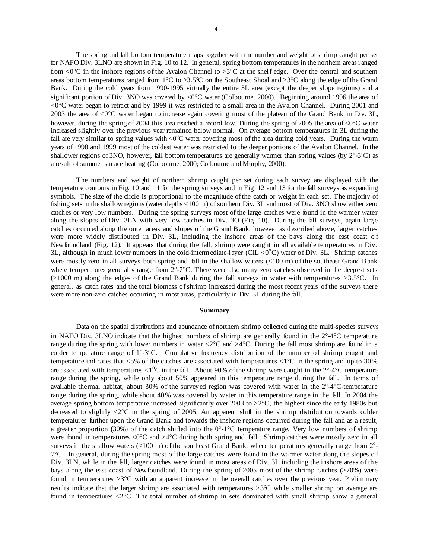The spring and fall bottom temperature maps together with the number and weight of shrimp caught per set for NAFO Div. 3LNO are shown in Fig. 10 to 12. In general, spring bottom temperatures in the northern areas ranged from  $\langle 0^\circ \text{C}$  in the inshore regions of the Avalon Channel to  $>3^\circ \text{C}$  at the shelf edge. Over the central and southern areas bottom temperatures ranged from 1°C to >3.5°C on the Southeast Shoal and >3°C along the edge of the Grand Bank. During the cold years from 1990-1995 virtually the entire 3L area (except the deeper slope regions) and a significant portion of Div. 3NO was covered by <0°C water (Colbourne, 2000). Beginning around 1996 the area of <0°C water began to retract and by 1999 it was restricted to a small area in the Avalon Channel. During 2001 and 2003 the area of <0°C water began to increase again covering most of the plateau of the Grand Bank in Div. 3L, however, during the spring of 2004 this area reached a record low. During the spring of 2005 the area of <0°C water increased slightly over the previous year remained below normal. On average bottom temperatures in 3L during the fall are very similar to spring values with  $\langle 0^{\circ}C \rangle$  water covering most of the area during cold years. During the warm years of 1998 and 1999 most of the coldest water was restricted to the deeper portions of the Avalon Channel. In the shallower regions of 3NO, however, fall bottom temperatures are generally warmer than spring values (by  $2^{\circ}$ -3°C) as a result of summer surface heating (Colbourne, 2000; Colbourne and Murphy, 2000).

The numbers and weight of northern shrimp caught per set during each survey are displayed with the temperature contours in Fig. 10 and 11 for the spring surveys and in Fig. 12 and 13 for the fall surveys as expanding symbols. The size of the circle is proportional to the magnitude of the catch or weight in each set. The majority of fishing sets in the shallow regions (water depths <100 m) of southern Div. 3L and most of Div. 3NO show either zero catches or very low numbers. During the spring surveys most of the large catches were found in the warmer water along the slopes of Div. 3LN with very low catches in Div. 3O (Fig. 10). During the fall surveys, again large catches occurred along the outer areas and slopes of the Grand B ank, however as described above, larger catches were more widely distributed in Div. 3L, including the inshore areas of the bays along the east coast of Newfoundland (Fig. 12). It appears that during the fall, shrimp were caught in all available temperatures in Div. 3L, although in much lower numbers in the cold-intermediate-layer (CIL  $<0^{\circ}$ C) water of Div. 3L. Shrimp catches were mostly zero in all surveys both spring and fall in the shallow waters (<100 m) of the southeast Grand B ank where temperatures generally range from  $2^{\circ}$ -7°C. There were also many zero catches observed in the deepest sets  $(>1000 \text{ m})$  along the edges of the Grand Bank during the fall surveys in water with temperatures  $>3.5^{\circ}$ C. In general, as catch rates and the total biomass of shrimp increased during the most recent years of the surveys there were more non-zero catches occurring in most areas, particularly in Div. 3L during the fall.

### **Summary**

 Data on the spatial distributions and abundance of northern shrimp collected during the multi-species surveys in NAFO Div. 3LNO indicate that the highest numbers of shrimp are generally found in the 2°-4°C temperature range during the spring with lower numbers in water  $\langle 2^{\circ}C \rangle$  and  $>4^{\circ}C$ . During the fall most shrimp are found in a colder temperature range of 1°-3°C. Cumulative frequency distribution of the number of shrimp caught and temperature indicates that  $<5\%$  of the catches are associated with temperatures  $<1^{\circ}\text{C}$  in the spring and up to 30% are associated with temperatures  $\langle 1^{\circ}$ C in the fall. About 90% of the shrimp were caught in the 2°-4°C temperature range during the spring, while only about 50% appeared in this temperature range during the fall. In terms of available thermal habitat, about 30% of the surveyed region was covered with water in the 2°-4°C-temperature range during the spring, while about 40% was covered by water in this temperature range in the fall. In 2004 the average spring bottom temperature increased significantly over 2003 to >2°C, the highest since the early 1980s but decreased to slightly  $\langle 2^{\circ}C \rangle$  in the spring of 2005. An apparent shift in the shrimp distribution towards colder temperatures further upon the Grand Bank and towards the inshore regions occurred during the fall and as a result, a greater proportion (30%) of the catch shifted into the  $0^{\circ}$ -1°C temperature range. Very low numbers of shrimp were found in temperatures  $\langle 0^{\circ}C \rangle$  and  $>4^{\circ}C$  during both spring and fall. Shrimp catches were mostly zero in all surveys in the shallow waters  $(< 100 \text{ m})$  of the southeast Grand Bank, where temperatures generally range from  $2^{\circ}$ - $7^{\circ}$ C. In general, during the spring most of the large catches were found in the warmer water along the slopes of Div. 3LN, while in the fall, larger catches were found in most areas of Div. 3L including the inshore areas of the bays along the east coast of Newfoundland. During the spring of 2005 most of the shrimp catches (>70%) were found in temperatures >3°C with an apparent increase in the overall catches over the previous year. Preliminary results indicate that the larger shrimp are associated with temperatures >3°C while smaller shrimp on average are found in temperatures <2°C. The total number of shrimp in sets dominated with small shrimp show a general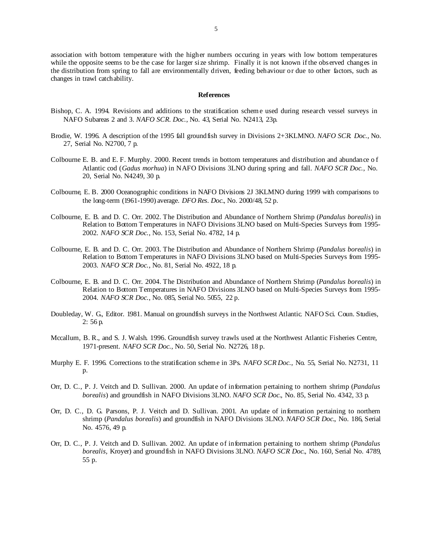association with bottom temperature with the higher numbers occuring in years with low bottom temperatures while the opposite seems to be the case for larger size shrimp. Finally it is not known if the observed changes in the distribution from spring to fall are environmentally driven, feeding behaviour or due to other factors, such as changes in trawl catchability.

### **References**

- Bishop, C. A. 1994. Revisions and additions to the stratification scheme used during research vessel surveys in NAFO Subareas 2 and 3. *NAFO SCR. Doc*., No. 43, Serial No. N2413, 23p.
- Brodie, W. 1996. A description of the 1995 fall groundfish survey in Divisions 2+3KLMNO. *NAFO SCR. Doc*., No. 27, Serial No. N2700, 7 p.
- Colbourne E. B. and E. F. Murphy. 2000. Recent trends in bottom temperatures and distribution and abundance o f Atlantic cod (*Gadus morhua*) in NAFO Divisions 3LNO during spring and fall. *NAFO SCR Doc*., No. 20, Serial No. N4249, 30 p.
- Colbourne, E. B. 2000 Oceanographic conditions in NAFO Divisions 2J 3KLMNO during 1999 with comparisons to the long-term (1961-1990) average. *DFO Res. Doc*., No. 2000/48, 52 p.
- Colbourne, E. B. and D. C. Orr. 2002. The Distribution and Abundance of Northern Shrimp (*Pandalus borealis*) in Relation to Bottom Temperatures in NAFO Divisions 3LNO based on Multi-Species Surveys from 1995- 2002. *NAFO SCR Doc*., No. 153, Serial No. 4782, 14 p.
- Colbourne, E. B. and D. C. Orr. 2003. The Distribution and Abundance of Northern Shrimp (*Pandalus borealis*) in Relation to Bottom Temperatures in NAFO Divisions 3LNO based on Multi-Species Surveys from 1995- 2003. *NAFO SCR Doc*., No. 81, Serial No. 4922, 18 p.
- Colbourne, E. B. and D. C. Orr. 2004. The Distribution and Abundance of Northern Shrimp (*Pandalus borealis*) in Relation to Bottom Temperatures in NAFO Divisions 3LNO based on Multi-Species Surveys from 1995- 2004. *NAFO SCR Doc*., No. 085, Serial No. 5055, 22 p.
- Doubleday, W. G., Editor. 1981. Manual on groundfish surveys in the Northwest Atlantic. NAFO Sci. Coun. Studies, 2: 56 p.
- Mccallum, B. R., and S. J. Walsh. 1996. Groundfish survey trawls used at the Northwest Atlantic Fisheries Centre, 1971-present. *NAFO SCR Doc*., No. 50, Serial No. N2726, 18 p.
- Murphy E. F. 1996. Corrections to the stratification scheme in 3Ps. *NAFO SCR Doc*., No. 55, Serial No. N2731, 11 p.
- Orr, D. C., P. J. Veitch and D. Sullivan. 2000. An update of information pertaining to northern shrimp (*Pandalus borealis*) and groundfish in NAFO Divisions 3LNO. *NAFO SCR Doc*., No. 85, Serial No. 4342, 33 p.
- Orr, D. C., D. G. Parsons, P. J. Veitch and D. Sullivan. 2001. An update of information pertaining to northern shrimp (*Pandalus borealis*) and groundfish in NAFO Divisions 3LNO. *NAFO SCR Doc*., No. 186, Serial No. 4576, 49 p.
- Orr, D. C., P. J. Veitch and D. Sullivan. 2002. An update of information pertaining to northern shrimp (*Pandalus borealis,* Kroyer) and groundfish in NAFO Divisions 3LNO. *NAFO SCR Doc*., No. 160, Serial No. 4789, 55 p.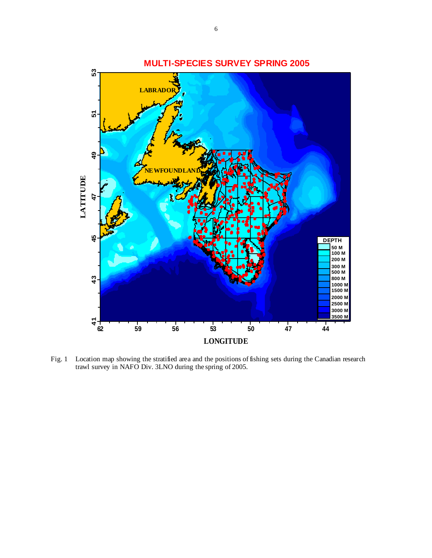

Fig. 1 Location map showing the stratified area and the positions of fishing sets during the Canadian research trawl survey in NAFO Div. 3LNO during the spring of 2005.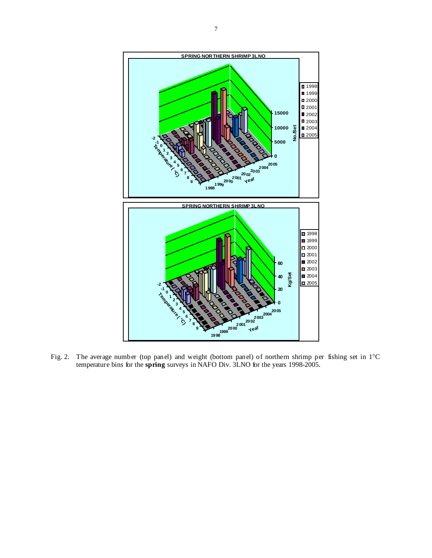

Fig. 2. The average number (top panel) and weight (bottom panel) of northern shrimp per fishing set in 1°C temperature bins for the **spring** surveys in NAFO Div. 3LNO for the years 1998-2005.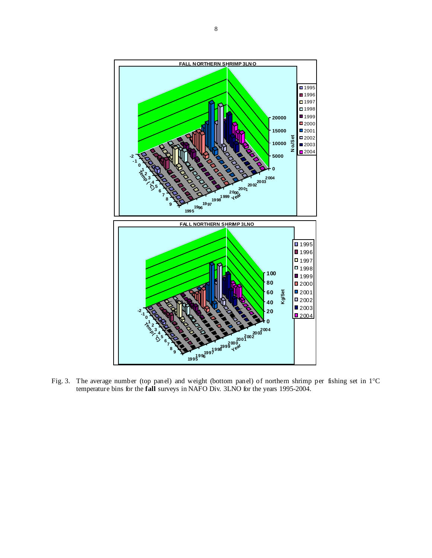

Fig. 3. The average number (top panel) and weight (bottom panel) of northern shrimp per fishing set in 1°C temperature bins for the **fall** surveys in NAFO Div. 3LNO for the years 1995-2004.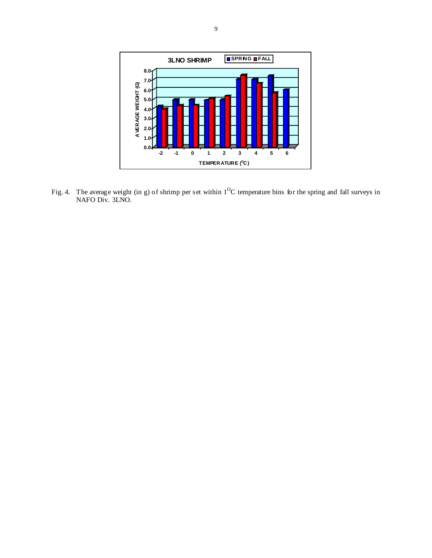

Fig. 4. The average weight (in g) of shrimp per set within  $1^{O}C$  temperature bins for the spring and fall surveys in NAFO Div. 3LNO.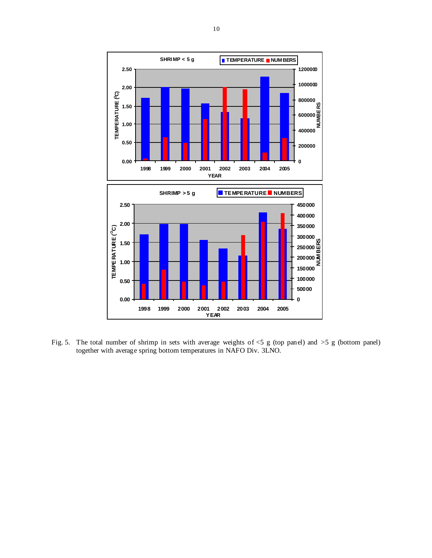

Fig. 5. The total number of shrimp in sets with average weights of <5 g (top panel) and >5 g (bottom panel) together with average spring bottom temperatures in NAFO Div. 3LNO.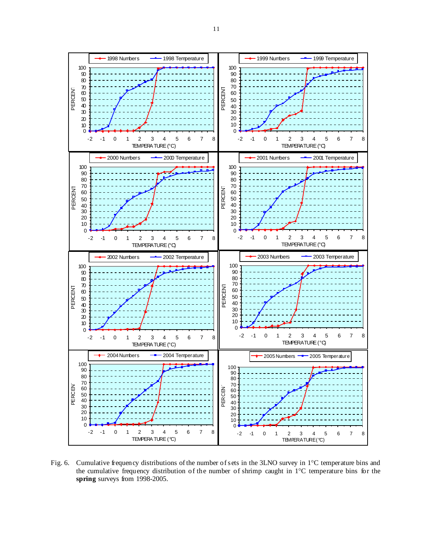

Fig. 6. Cumulative frequency distributions of the number of sets in the 3LNO survey in 1<sup>°</sup>C temperature bins and the cumulative frequency distribution of the number of shrimp caught in 1°C temperature bins for the **spring** surveys from 1998-2005.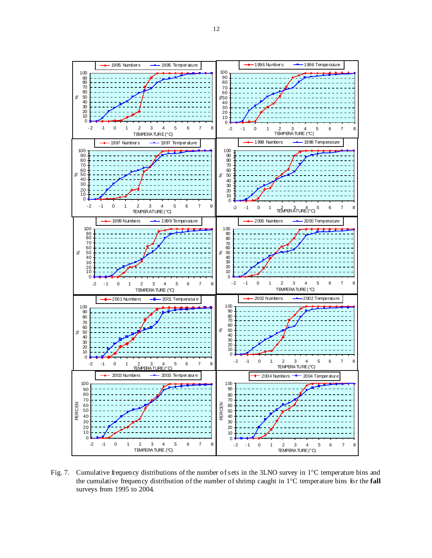

Fig. 7. Cumulative frequency distributions of the number of sets in the 3LNO survey in 1°C temperature bins and the cumulative frequency distribution of the number of shrimp caught in 1°C temperature bins for the **fall** surveys from 1995 to 2004.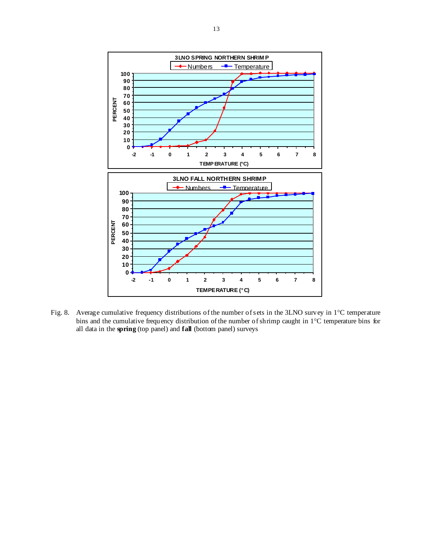

Fig. 8. Average cumulative frequency distributions of the number of sets in the 3LNO survey in 1°C temperature bins and the cumulative frequency distribution of the number of shrimp caught in 1°C temperature bins for all data in the **spring** (top panel) and **fall** (bottom panel) surveys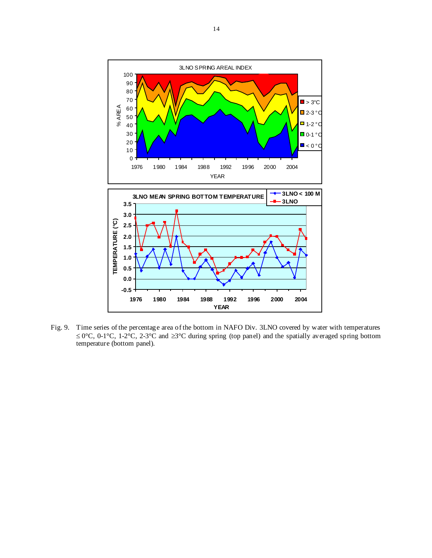

Fig. 9. Time series of the percentage area of the bottom in NAFO Div. 3LNO covered by water with temperatures ≤ 0°C, 0-1°C, 1-2°C, 2-3°C and ≥3°C during spring (top panel) and the spatially averaged spring bottom temperature (bottom panel).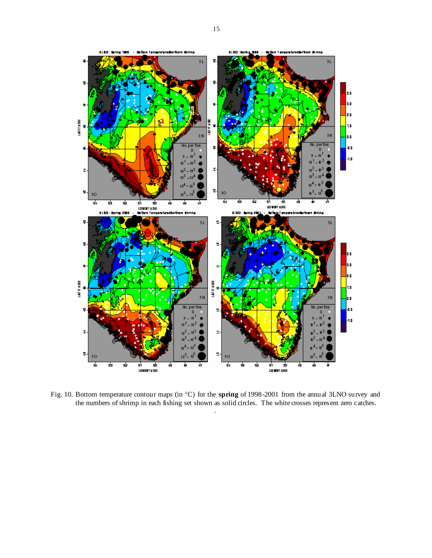

Fig. 10. Bottom temperature contour maps (in °C) for the **spring** of 1998-2001 from the annual 3LNO survey and the numbers of shrimp in each fishing set shown as solid circles. The white crosses represent zero catches. .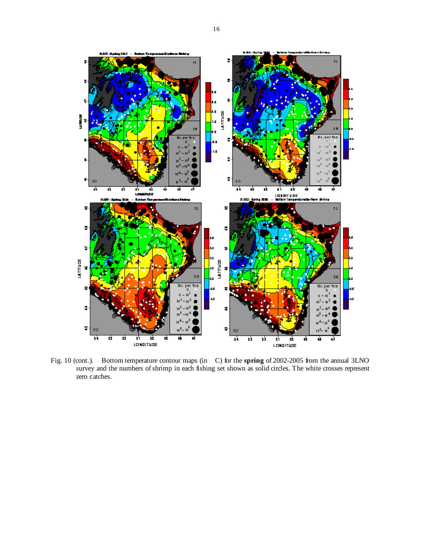

Fig. 10 (cont.). Bottom temperature contour maps (in C) for the **spring** of 2002-2005 from the annual 3LNO survey and the numbers of shrimp in each fishing set shown as solid circles. The white crosses represent zero catches.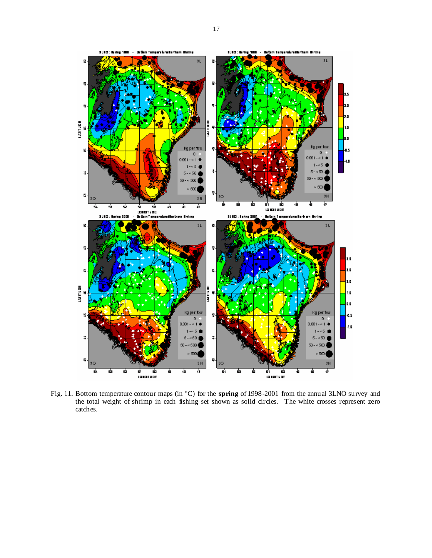

Fig. 11. Bottom temperature contour maps (in °C) for the **spring** of 1998-2001 from the annual 3LNO survey and the total weight of shrimp in each fishing set shown as solid circles. The white crosses represent zero catches.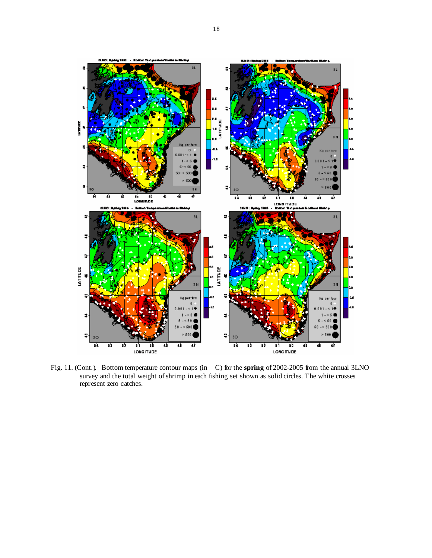

Fig. 11. (Cont.). Bottom temperature contour maps (in C) for the **spring** of 2002-2005 from the annual 3LNO survey and the total weight of shrimp in each fishing set shown as solid circles. The white crosses represent zero catches.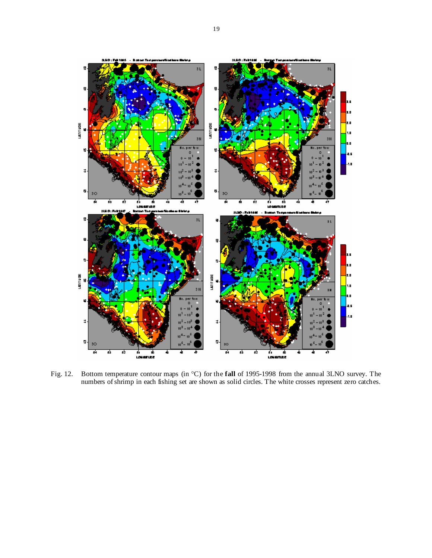

Fig. 12. Bottom temperature contour maps (in °C) for the **fall** of 1995-1998 from the annual 3LNO survey. The numbers of shrimp in each fishing set are shown as solid circles. The white crosses represent zero catches.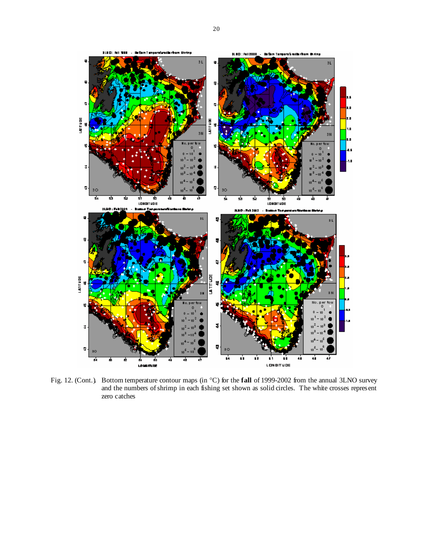

Fig. 12. (Cont.). Bottom temperature contour maps (in °C) for the **fall** of 1999-2002 from the annual 3LNO survey and the numbers of shrimp in each fishing set shown as solid circles. The white crosses represent zero catches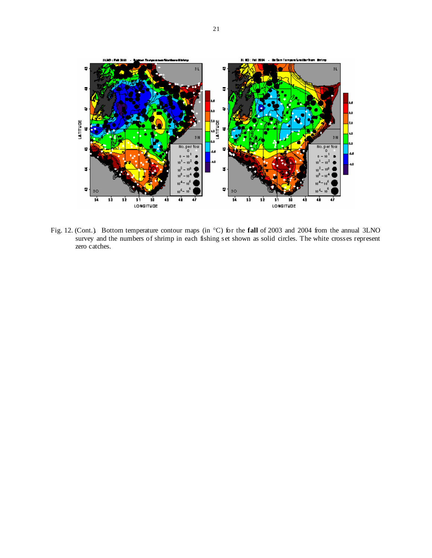

Fig. 12. (Cont.). Bottom temperature contour maps (in °C) for the **fall** of 2003 and 2004 from the annual 3LNO survey and the numbers of shrimp in each fishing set shown as solid circles. The white crosses represent zero catches.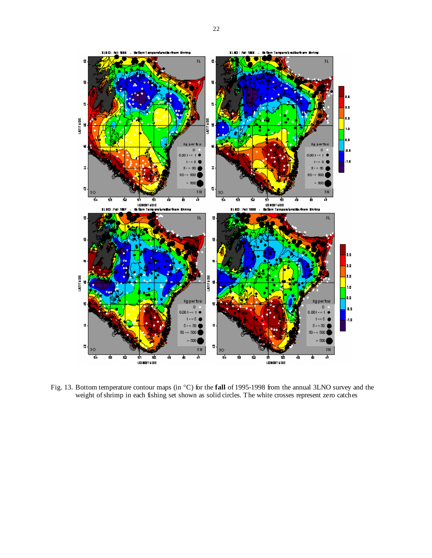

Fig. 13. Bottom temperature contour maps (in °C) for the **fall** of 1995-1998 from the annual 3LNO survey and the weight of shrimp in each fishing set shown as solid circles. The white crosses represent zero catches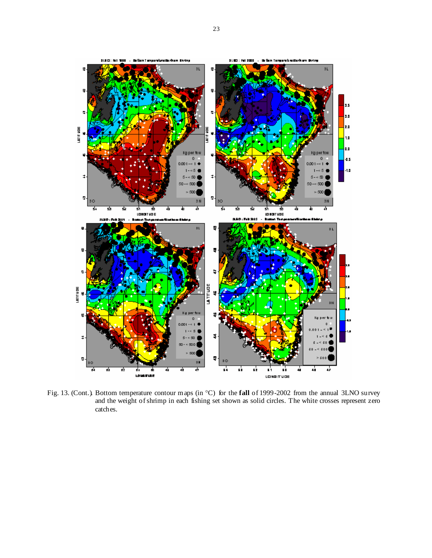

Fig. 13. (Cont.). Bottom temperature contour maps (in °C) for the **fall** of 1999-2002 from the annual 3LNO survey and the weight of shrimp in each fishing set shown as solid circles. The white crosses represent zero catches.